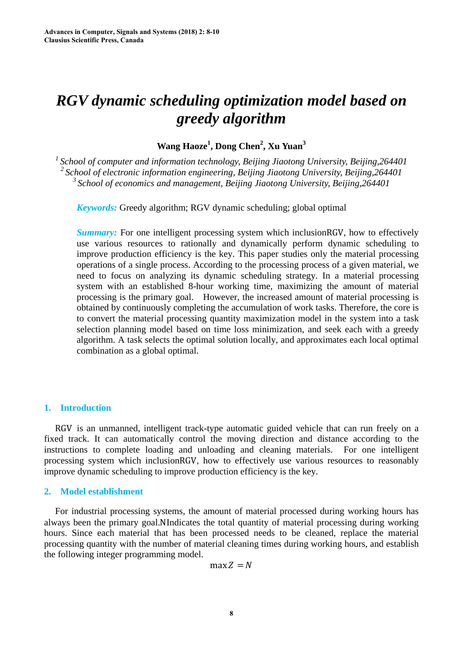# *RGV dynamic scheduling optimization model based on greedy algorithm*

**Wang Haoze<sup>1</sup> , Dong Chen2 , Xu Yuan3** 

*1 School of computer and information technology, Beijing Jiaotong University, Beijing,264401 2 School of electronic information engineering, Beijing Jiaotong University, Beijing,264401 3 School of economics and management, Beijing Jiaotong University, Beijing,264401* 

*Keywords:* Greedy algorithm; RGV dynamic scheduling; global optimal

*Summary:* For one intelligent processing system which inclusionRGV, how to effectively use various resources to rationally and dynamically perform dynamic scheduling to improve production efficiency is the key. This paper studies only the material processing operations of a single process. According to the processing process of a given material, we need to focus on analyzing its dynamic scheduling strategy. In a material processing system with an established 8-hour working time, maximizing the amount of material processing is the primary goal. However, the increased amount of material processing is obtained by continuously completing the accumulation of work tasks. Therefore, the core is to convert the material processing quantity maximization model in the system into a task selection planning model based on time loss minimization, and seek each with a greedy algorithm. A task selects the optimal solution locally, and approximates each local optimal combination as a global optimal.

## **1. Introduction**

RGV is an unmanned, intelligent track-type automatic guided vehicle that can run freely on a fixed track. It can automatically control the moving direction and distance according to the instructions to complete loading and unloading and cleaning materials. For one intelligent processing system which inclusionRGV, how to effectively use various resources to reasonably improve dynamic scheduling to improve production efficiency is the key.

## **2. Model establishment**

For industrial processing systems, the amount of material processed during working hours has always been the primary goal.NIndicates the total quantity of material processing during working hours. Since each material that has been processed needs to be cleaned, replace the material processing quantity with the number of material cleaning times during working hours, and establish the following integer programming model.

 $max Z = N$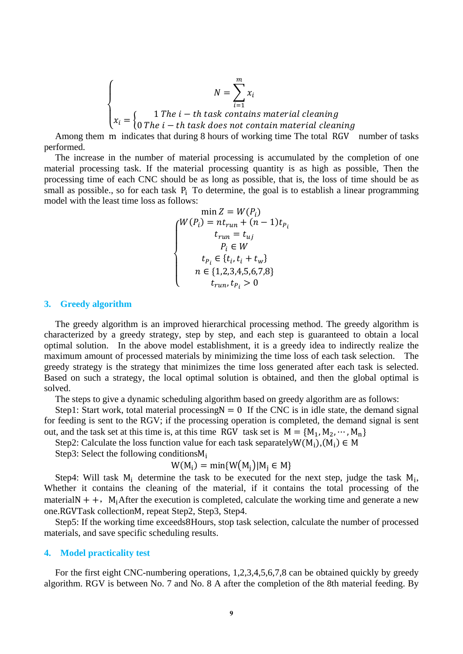$$
\begin{cases}\nN = \sum_{i=1}^{m} x_i \\
x_i = \begin{cases}\n1 \text{ The } i-th \text{ task contains material cleaning} \\
0 \text{ The } i-th \text{ task does not contain material cleaning}\n\end{cases}\n\end{cases}
$$

Among them m indicates that during 8 hours of working time The total RGV number of tasks performed.

The increase in the number of material processing is accumulated by the completion of one material processing task. If the material processing quantity is as high as possible, Then the processing time of each CNC should be as long as possible, that is, the loss of time should be as small as possible., so for each task  $P_i$  To determine, the goal is to establish a linear programming model with the least time loss as follows:

$$
\min Z = W(P_i)
$$
\n
$$
\begin{cases}\nW(P_i) = nt_{run} + (n-1)t_{P_i} \\
t_{run} = t_{uj} \\
P_i \in W \\
t_{P_i} \in \{t_i, t_i + t_w\} \\
n \in \{1, 2, 3, 4, 5, 6, 7, 8\} \\
t_{run}, t_{P_i} > 0\n\end{cases}
$$

#### **3. Greedy algorithm**

The greedy algorithm is an improved hierarchical processing method. The greedy algorithm is characterized by a greedy strategy, step by step, and each step is guaranteed to obtain a local optimal solution. In the above model establishment, it is a greedy idea to indirectly realize the maximum amount of processed materials by minimizing the time loss of each task selection. The greedy strategy is the strategy that minimizes the time loss generated after each task is selected. Based on such a strategy, the local optimal solution is obtained, and then the global optimal is solved.

The steps to give a dynamic scheduling algorithm based on greedy algorithm are as follows:

Step1: Start work, total material processing $N = 0$  If the CNC is in idle state, the demand signal for feeding is sent to the RGV; if the processing operation is completed, the demand signal is sent out, and the task set at this time is, at this time RGV task set is  $M = \{M_1, M_2, \dots, M_n\}$ 

Step2: Calculate the loss function value for each task separately  $W(M_i), (M_i) \in M$ 

Step3: Select the following conditionsM<sup>i</sup>

$$
W(M_i) = \min\{W(M_j)|M_j \in M\}
$$

Step4: Will task  $M_i$  determine the task to be executed for the next step, judge the task  $M_i$ , Whether it contains the cleaning of the material, if it contains the total processing of the materialN  $++$ , M<sub>i</sub>After the execution is completed, calculate the working time and generate a new one.RGVTask collectionM, repeat Step2, Step3, Step4.

Step5: If the working time exceeds8Hours, stop task selection, calculate the number of processed materials, and save specific scheduling results.

#### **4. Model practicality test**

For the first eight CNC-numbering operations, 1,2,3,4,5,6,7,8 can be obtained quickly by greedy algorithm. RGV is between No. 7 and No. 8 A after the completion of the 8th material feeding. By